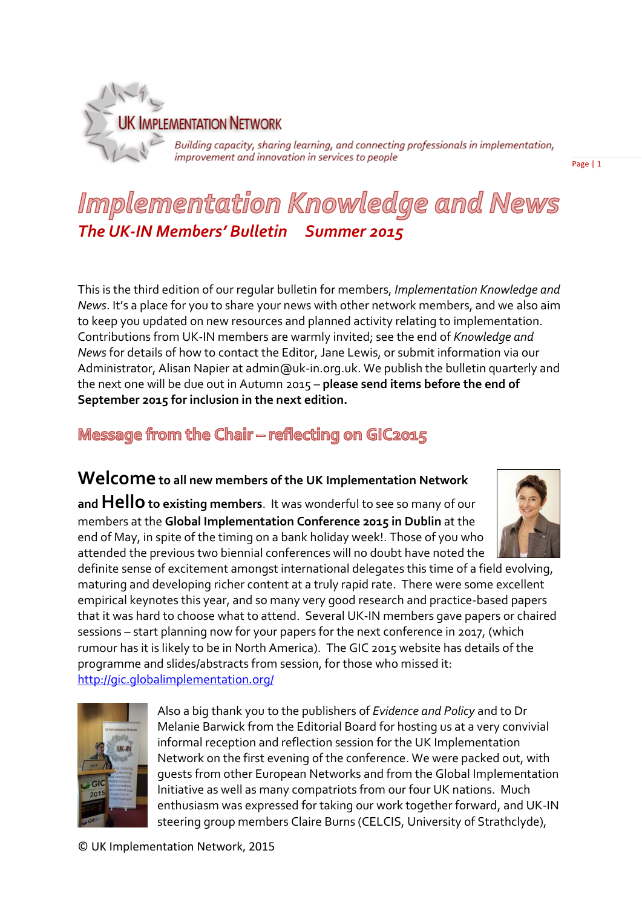

Building capacity, sharing learning, and connecting professionals in implementation,<br>improvement and innovation in services to people

Page | 1

# Implementation Knowledge and News *The UK-IN Members' Bulletin Summer 2015*

This is the third edition of our regular bulletin for members, *Implementation Knowledge and News*. It's a place for you to share your news with other network members, and we also aim to keep you updated on new resources and planned activity relating to implementation. Contributions from UK-IN members are warmly invited; see the end of *Knowledge and News* for details of how to contact the Editor, Jane Lewis, or submit information via our Administrator, Alisan Napier at admin@uk-in.org.uk. We publish the bulletin quarterly and the next one will be due out in Autumn 2015 – **please send items before the end of September 2015 for inclusion in the next edition.**

# Message from the Chair - reflecting on GIC2015

# **Welcome to all new members of the UK Implementation Network**

**and Hello to existing members**. It was wonderful to see so many of our members at the **Global Implementation Conference 2015 in Dublin** at the end of May, in spite of the timing on a bank holiday week!. Those of you who attended the previous two biennial conferences will no doubt have noted the



definite sense of excitement amongst international delegates this time of a field evolving, maturing and developing richer content at a truly rapid rate. There were some excellent empirical keynotes this year, and so many very good research and practice-based papers that it was hard to choose what to attend. Several UK-IN members gave papers or chaired sessions – start planning now for your papers for the next conference in 2017, (which rumour has it is likely to be in North America). The GIC 2015 website has details of the programme and slides/abstracts from session, for those who missed it: <http://gic.globalimplementation.org/>



Also a big thank you to the publishers of *Evidence and Policy* and to Dr Melanie Barwick from the Editorial Board for hosting us at a very convivial informal reception and reflection session for the UK Implementation Network on the first evening of the conference. We were packed out, with guests from other European Networks and from the Global Implementation Initiative as well as many compatriots from our four UK nations. Much enthusiasm was expressed for taking our work together forward, and UK-IN steering group members Claire Burns (CELCIS, University of Strathclyde),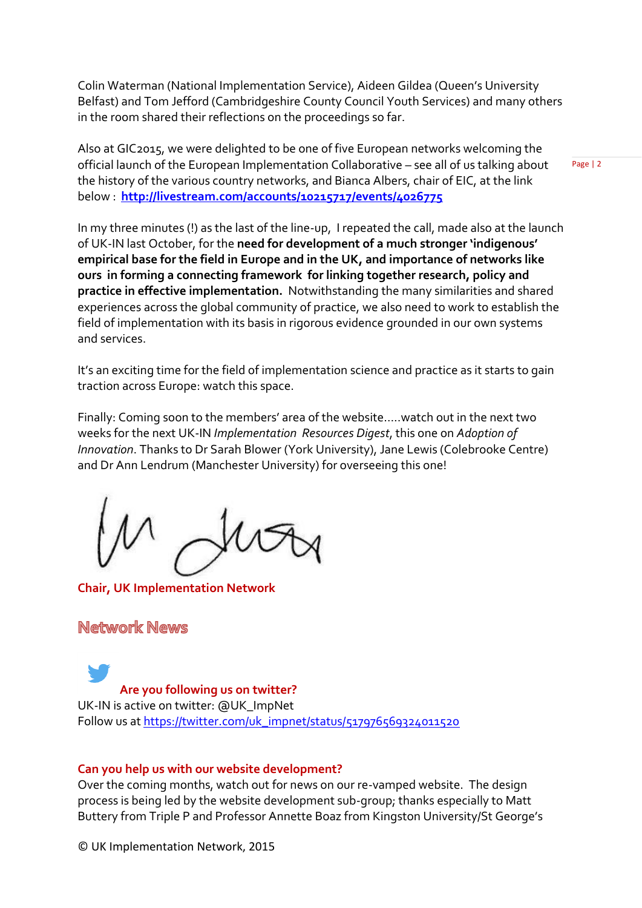Colin Waterman (National Implementation Service), Aideen Gildea (Queen's University Belfast) and Tom Jefford (Cambridgeshire County Council Youth Services) and many others in the room shared their reflections on the proceedings so far.

Also at GIC2015, we were delighted to be one of five European networks welcoming the official launch of the European Implementation Collaborative – see all of us talking about the history of the various country networks, and Bianca Albers, chair of EIC, at the link below : **<http://livestream.com/accounts/10215717/events/4026775>**

Page | 2

In my three minutes (!) as the last of the line-up, I repeated the call, made also at the launch of UK-IN last October, for the **need for development of a much stronger 'indigenous' empirical base for the field in Europe and in the UK, and importance of networks like ours in forming a connecting framework for linking together research, policy and practice in effective implementation.** Notwithstanding the many similarities and shared experiences across the global community of practice, we also need to work to establish the field of implementation with its basis in rigorous evidence grounded in our own systems and services.

It's an exciting time for the field of implementation science and practice as it starts to gain traction across Europe: watch this space.

Finally: Coming soon to the members' area of the website…..watch out in the next two weeks for the next UK-IN *Implementation Resources Digest*, this one on *Adoption of Innovation*. Thanks to Dr Sarah Blower (York University), Jane Lewis (Colebrooke Centre) and Dr Ann Lendrum (Manchester University) for overseeing this one!

**Chair, UK Implementation Network**

# Network News

**Are you following us on twitter?** UK-IN is active on twitter: @UK\_ImpNet Follow us at [https://twitter.com/uk\\_impnet/status/517976569324011520](https://twitter.com/uk_impnet/status/517976569324011520)

#### **Can you help us with our website development?**

Over the coming months, watch out for news on our re-vamped website. The design process is being led by the website development sub-group; thanks especially to Matt Buttery from Triple P and Professor Annette Boaz from Kingston University/St George's

© UK Implementation Network, 2015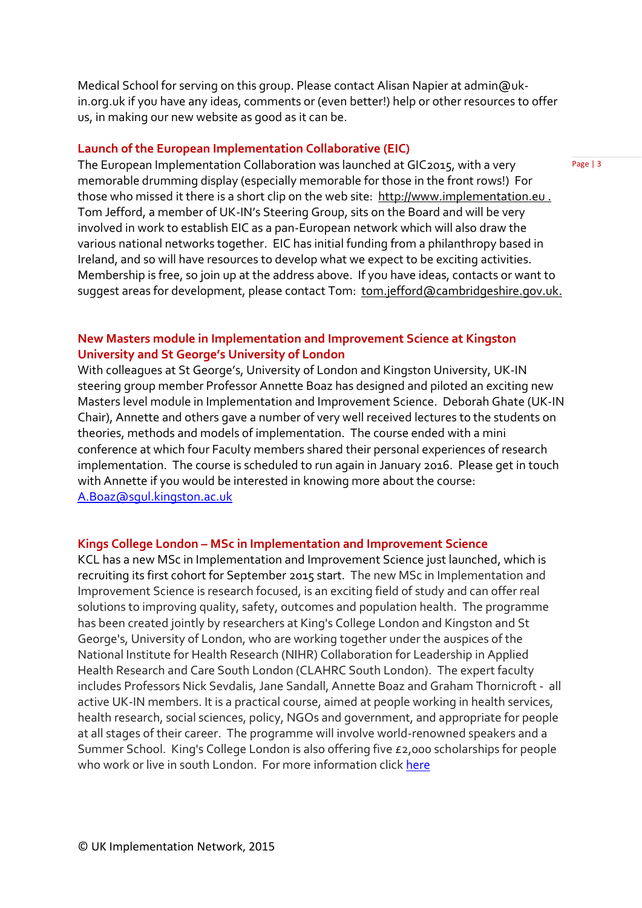Medical School for serving on this group. Please contact Alisan Napier at admin@ukin.org.uk if you have any ideas, comments or (even better!) help or other resources to offer us, in making our new website as good as it can be.

#### **Launch of the European Implementation Collaborative (EIC)**

The European Implementation Collaboration was launched at GIC2015, with a very memorable drumming display (especially memorable for those in the front rows!) For those who missed it there is a short clip on the web site: [http://www.implementation.eu](http://www.implementation.eu/) . Tom Jefford, a member of UK-IN's Steering Group, sits on the Board and will be very involved in work to establish EIC as a pan-European network which will also draw the various national networks together. EIC has initial funding from a philanthropy based in Ireland, and so will have resources to develop what we expect to be exciting activities. Membership is free, so join up at the address above. If you have ideas, contacts or want to suggest areas for development, please contact Tom: [tom.jefford@cambridgeshire.gov.uk.](mailto:tom.jefford@cambridgeshire.gov.uk)

#### **New Masters module in Implementation and Improvement Science at Kingston University and St George's University of London**

With colleagues at St George's, University of London and Kingston University, UK-IN steering group member Professor Annette Boaz has designed and piloted an exciting new Masters level module in Implementation and Improvement Science. Deborah Ghate (UK-IN Chair), Annette and others gave a number of very well received lectures to the students on theories, methods and models of implementation. The course ended with a mini conference at which four Faculty members shared their personal experiences of research implementation. The course is scheduled to run again in January 2016. Please get in touch with Annette if you would be interested in knowing more about the course: [A.Boaz@sgul.kingston.ac.uk](mailto:A.Boaz@sgul.kingston.ac.uk)

#### **Kings College London – MSc in Implementation and Improvement Science**

KCL has a new MSc in Implementation and Improvement Science just launched, which is recruiting its first cohort for September 2015 start. The new MSc in Implementation and Improvement Science is research focused, is an exciting field of study and can offer real solutions to improving quality, safety, outcomes and population health. The programme has been created jointly by researchers at King's College London and Kingston and St George's, University of London, who are working together under the auspices of the National Institute for Health Research (NIHR) Collaboration for Leadership in Applied Health Research and Care South London (CLAHRC South London). The expert faculty includes Professors Nick Sevdalis, Jane Sandall, Annette Boaz and Graham Thornicroft - all active UK-IN members. It is a practical course, aimed at people working in health services, health research, social sciences, policy, NGOs and government, and appropriate for people at all stages of their career. The programme will involve world-renowned speakers and a Summer School. King's College London is also offering five £2,000 scholarships for people who work or live in south London. For more information clic[k here](http://www.kcl.ac.uk/prospectus/graduate/implementation-and-improvement-science)

Page | 3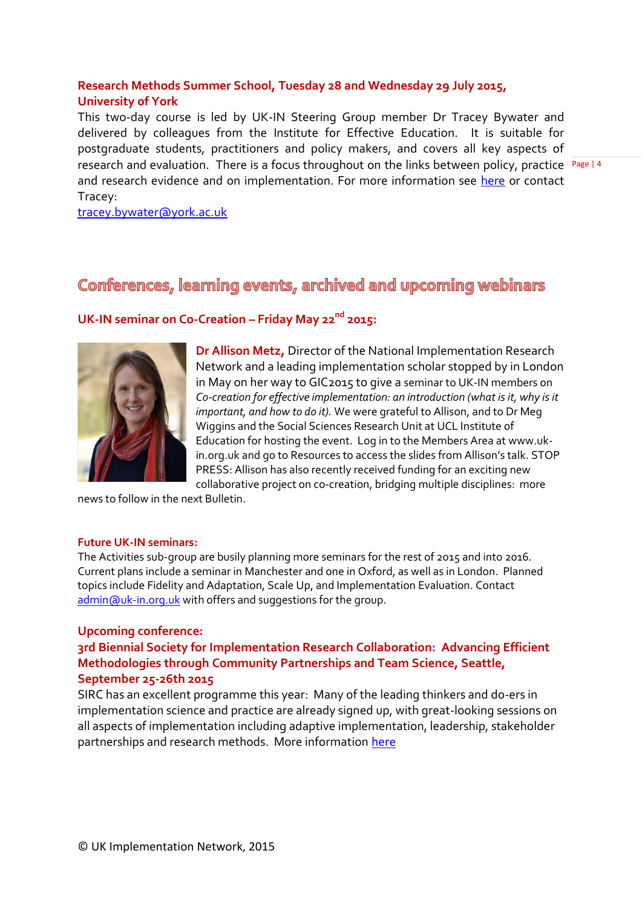### **Research Methods Summer School, Tuesday 28 and Wednesday 29 July 2015, University of York**

research and evaluation. There is a focus throughout on the links between policy, practice Page | 4 This two-day course is led by UK-IN Steering Group member Dr Tracey Bywater and delivered by colleagues from the Institute for Effective Education. It is suitable for postgraduate students, practitioners and policy makers, and covers all key aspects of and research evidence and on implementation. For more information see [here](http://www.york.ac.uk/iee/events/summerschool2015/) or contact Tracey:

[tracey.bywater@york.ac.uk](mailto:tracey.bywater@york.ac.uk)

# Conferences, learning events, archived and upcoming webinars

# **UK-IN seminar on Co-Creation – Friday May 22nd 2015:**



**Dr Allison Metz,** Director of the National Implementation Research Network and a leading implementation scholar stopped by in London in May on her way to GIC2015 to give a seminar to UK-IN members on *Co-creation for effective implementation: an introduction (what is it, why is it important, and how to do it).* We were grateful to Allison, and to Dr Meg Wiggins and the Social Sciences Research Unit at UCL Institute of Education for hosting the event. Log in to the Members Area at www.ukin.org.uk and go to Resources to access the slides from Allison's talk. STOP PRESS: Allison has also recently received funding for an exciting new collaborative project on co-creation, bridging multiple disciplines: more

news to follow in the next Bulletin.

#### **Future UK-IN seminars:**

The Activities sub-group are busily planning more seminars for the rest of 2015 and into 2016. Current plans include a seminar in Manchester and one in Oxford, as well as in London. Planned topics include Fidelity and Adaptation, Scale Up, and Implementation Evaluation. Contact [admin@uk-in.org.uk](mailto:admin@uk-in.org.uk) with offers and suggestions for the group.

#### **Upcoming conference:**

**3rd Biennial Society for Implementation Research Collaboration: Advancing Efficient Methodologies through Community Partnerships and Team Science, Seattle, September 25-26th 2015**

SIRC has an excellent programme this year: Many of the leading thinkers and do-ers in implementation science and practice are already signed up, with great-looking sessions on all aspects of implementation including adaptive implementation, leadership, stakeholder partnerships and research methods. More information [here](http://www.societyforimplementationresearchcollaboration.org/conference-information/conference-3-september-2015/)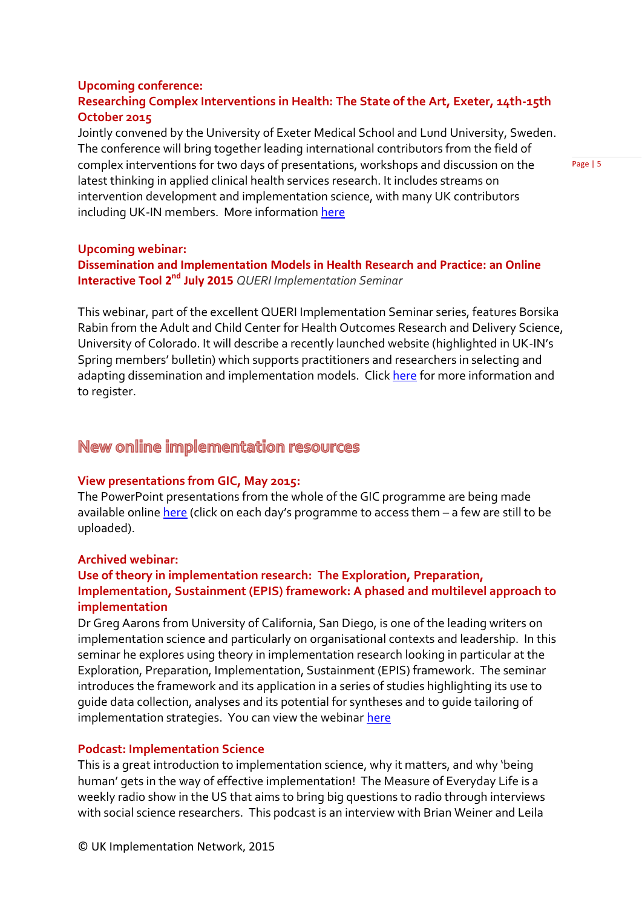#### **Upcoming conference: Researching Complex Interventions in Health: The State of the Art, Exeter, 14th-15th October 2015**

Jointly convened by the University of Exeter Medical School and Lund University, Sweden. The conference will bring together leading international contributors from the field of complex interventions for two days of presentations, workshops and discussion on the latest thinking in applied clinical health services research. It includes streams on intervention development and implementation science, with many UK contributors including UK-IN members. More informatio[n here](http://store.exeter.ac.uk/browse/extra_info.asp?compid=1&modid=2&catid=51&prodid=987)

Page | 5

#### **Upcoming webinar:**

### **Dissemination and Implementation Models in Health Research and Practice: an Online Interactive Tool 2<sup>nd</sup> July 2015** *QUERI Implementation Seminar*

This webinar, part of the excellent QUERI Implementation Seminar series, features Borsika Rabin from the Adult and Child Center for Health Outcomes Research and Delivery Science, University of Colorado. It will describe a recently launched website (highlighted in UK-IN's Spring members' bulletin) which supports practitioners and researchers in selecting and adapting dissemination and implementation models. Click [here](https://attendee.gotowebinar.com/register/3417795977973877761) for more information and to register.

# New online implementation resources

#### **View presentations from GIC, May 2015:**

The PowerPoint presentations from the whole of the GIC programme are being made available online [here](http://gic.globalimplementation.org/2015-program/) (click on each day's programme to access them – a few are still to be uploaded).

#### **Archived webinar:**

#### **Use of theory in implementation research: The Exploration, Preparation, Implementation, Sustainment (EPIS) framework: A phased and multilevel approach to implementation**

Dr Greg Aarons from University of California, San Diego, is one of the leading writers on implementation science and particularly on organisational contexts and leadership. In this seminar he explores using theory in implementation research looking in particular at the Exploration, Preparation, Implementation, Sustainment (EPIS) framework. The seminar introduces the framework and its application in a series of studies highlighting its use to guide data collection, analyses and its potential for syntheses and to guide tailoring of implementation strategies. You can view the webinar [here](https://www.youtube.com/watch?v=OYw6g0F1rTs)

#### **Podcast: Implementation Science**

This is a great introduction to implementation science, why it matters, and why 'being human' gets in the way of effective implementation! The Measure of Everyday Life is a weekly radio show in the US that aims to bring big questions to radio through interviews with social science researchers. This podcast is an interview with Brian Weiner and Leila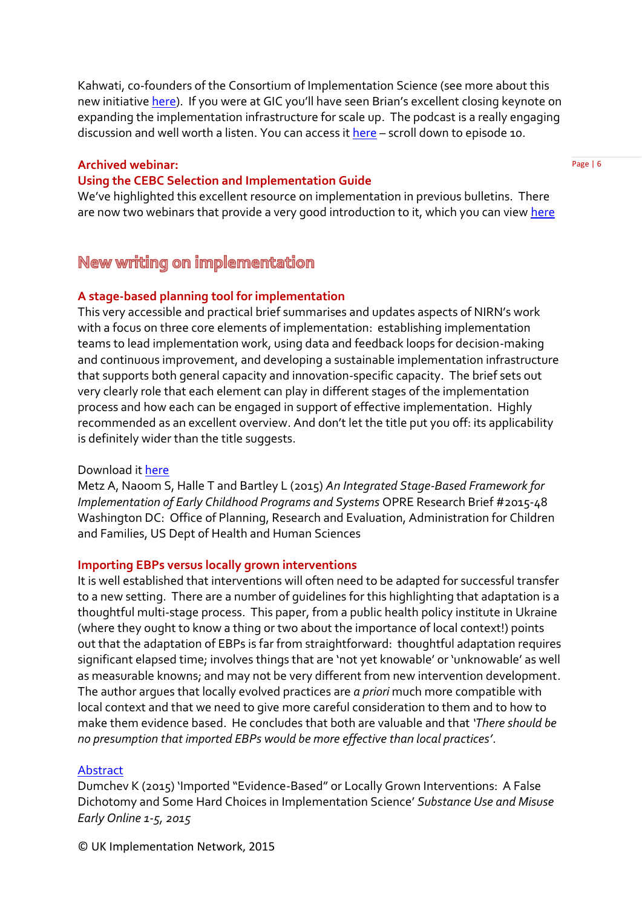Kahwati, co-founders of the Consortium of Implementation Science (see more about this new initiative [here\)](http://consortiumforis.org/). If you were at GIC you'll have seen Brian's excellent closing keynote on expanding the implementation infrastructure for scale up. The podcast is a really engaging discussion and well worth a listen. You can access it [here](https://itunes.apple.com/us/podcast/the-measure-of-everyday-life/id956844695?mt=2) - scroll down to episode 10.

#### **Archived webinar:**

#### **Using the CEBC Selection and Implementation Guide**

We've highlighted this excellent resource on implementation in previous bulletins. There are now two webinars that provide a very good introduction to it, which you can view [here](http://www.cebc4cw.org/cebc-webinars/cebc-sponsored-webinars/)

# New writing on implementation

#### **A stage-based planning tool for implementation**

This very accessible and practical brief summarises and updates aspects of NIRN's work with a focus on three core elements of implementation: establishing implementation teams to lead implementation work, using data and feedback loops for decision-making and continuous improvement, and developing a sustainable implementation infrastructure that supports both general capacity and innovation-specific capacity. The brief sets out very clearly role that each element can play in different stages of the implementation process and how each can be engaged in support of effective implementation. Highly recommended as an excellent overview. And don't let the title put you off: its applicability is definitely wider than the title suggests.

#### Download i[t here](http://www.acf.hhs.gov/programs/opre/resource/an-integrated-stage-based-framework-for-implementation-of-early-childhood-programs-and-systems)

Metz A, Naoom S, Halle T and Bartley L (2015) *An Integrated Stage-Based Framework for Implementation of Early Childhood Programs and Systems* OPRE Research Brief #2015-48 Washington DC: Office of Planning, Research and Evaluation, Administration for Children and Families, US Dept of Health and Human Sciences

#### **Importing EBPs versus locally grown interventions**

It is well established that interventions will often need to be adapted for successful transfer to a new setting. There are a number of guidelines for this highlighting that adaptation is a thoughtful multi-stage process. This paper, from a public health policy institute in Ukraine (where they ought to know a thing or two about the importance of local context!) points out that the adaptation of EBPs is far from straightforward: thoughtful adaptation requires significant elapsed time; involves things that are 'not yet knowable' or 'unknowable' as well as measurable knowns; and may not be very different from new intervention development. The author argues that locally evolved practices are *a priori* much more compatible with local context and that we need to give more careful consideration to them and to how to make them evidence based. He concludes that both are valuable and that *'There should be no presumption that imported EBPs would be more effective than local practices'*.

#### [Abstract](http://informahealthcare.com/doi/abs/10.3109/10826084.2015.1007755)

Dumchev K (2015) 'Imported "Evidence-Based" or Locally Grown Interventions: A False Dichotomy and Some Hard Choices in Implementation Science' *Substance Use and Misuse Early Online 1-5, 2015*

© UK Implementation Network, 2015

Page | 6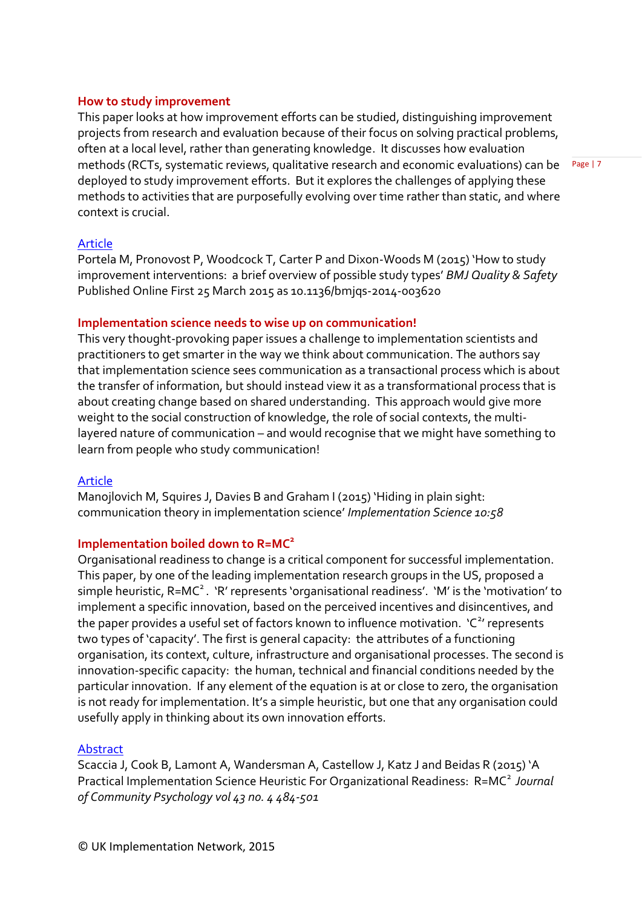#### **How to study improvement**

This paper looks at how improvement efforts can be studied, distinguishing improvement projects from research and evaluation because of their focus on solving practical problems, often at a local level, rather than generating knowledge. It discusses how evaluation methods (RCTs, systematic reviews, qualitative research and economic evaluations) can be deployed to study improvement efforts. But it explores the challenges of applying these methods to activities that are purposefully evolving over time rather than static, and where context is crucial.

[Article](http://qualitysafety.bmj.com/content/early/2015/03/24/bmjqs-2014-003620.full)

Portela M, Pronovost P, Woodcock T, Carter P and Dixon-Woods M (2015) 'How to study improvement interventions: a brief overview of possible study types' *BMJ Quality & Safety*  Published Online First 25 March 2015 as 10.1136/bmjqs-2014-003620

#### **Implementation science needs to wise up on communication!**

This very thought-provoking paper issues a challenge to implementation scientists and practitioners to get smarter in the way we think about communication. The authors say that implementation science sees communication as a transactional process which is about the transfer of information, but should instead view it as a transformational process that is about creating change based on shared understanding. This approach would give more weight to the social construction of knowledge, the role of social contexts, the multilayered nature of communication – and would recognise that we might have something to learn from people who study communication!

#### [Article](http://www.implementationscience.com/content/10/1/58)

Manojlovich M, Squires J, Davies B and Graham I (2015) 'Hiding in plain sight: communication theory in implementation science' *Implementation Science 10:58*

#### **Implementation boiled down to R=MC<sup>2</sup>**

Organisational readiness to change is a critical component for successful implementation. This paper, by one of the leading implementation research groups in the US, proposed a simple heuristic, R=MC<sup>2</sup>. 'R' represents 'organisational readiness'. 'M' is the 'motivation' to implement a specific innovation, based on the perceived incentives and disincentives, and the paper provides a useful set of factors known to influence motivation. 'C<sup>2</sup>' represents two types of 'capacity'. The first is general capacity: the attributes of a functioning organisation, its context, culture, infrastructure and organisational processes. The second is innovation-specific capacity: the human, technical and financial conditions needed by the particular innovation. If any element of the equation is at or close to zero, the organisation is not ready for implementation. It's a simple heuristic, but one that any organisation could usefully apply in thinking about its own innovation efforts.

#### [Abstract](http://onlinelibrary.wiley.com/doi/10.1002/jcop.21698/abstract)

Scaccia J, Cook B, Lamont A, Wandersman A, Castellow J, Katz J and Beidas R (2015) 'A Practical Implementation Science Heuristic For Organizational Readiness: R=MC<sup>2</sup> Journal *of Community Psychology vol 43 no. 4 484-501*

Page | 7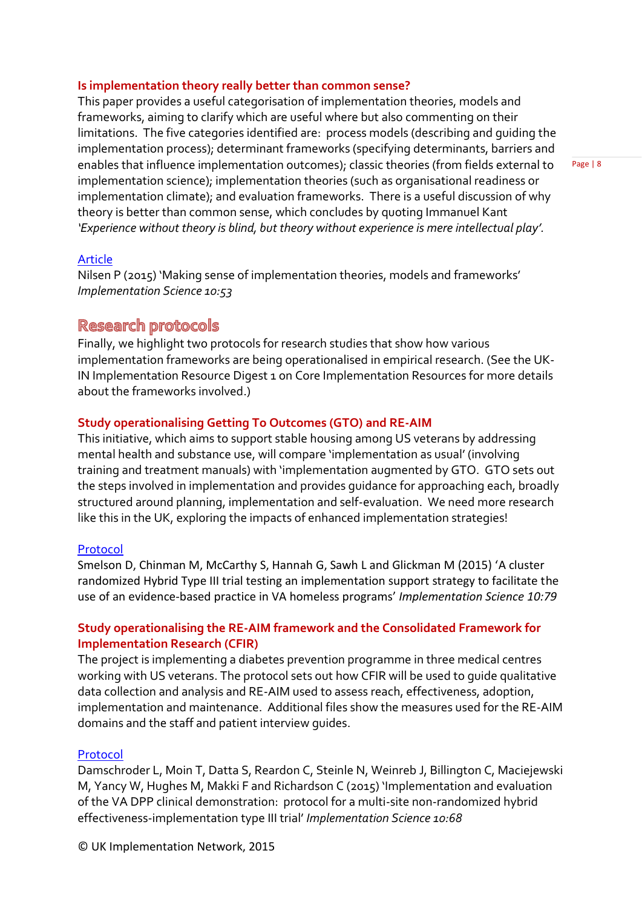#### **Is implementation theory really better than common sense?**

This paper provides a useful categorisation of implementation theories, models and frameworks, aiming to clarify which are useful where but also commenting on their limitations. The five categories identified are: process models (describing and guiding the implementation process); determinant frameworks (specifying determinants, barriers and enables that influence implementation outcomes); classic theories (from fields external to implementation science); implementation theories (such as organisational readiness or implementation climate); and evaluation frameworks. There is a useful discussion of why theory is better than common sense, which concludes by quoting Immanuel Kant *'Experience without theory is blind, but theory without experience is mere intellectual play'.*

Page | 8

#### [Article](http://www.implementationscience.com/content/pdf/s13012-015-0242-0.pdf)

Nilsen P (2015) 'Making sense of implementation theories, models and frameworks' *Implementation Science 10:53*

### **Research protocols**

Finally, we highlight two protocols for research studies that show how various implementation frameworks are being operationalised in empirical research. (See the UK-IN Implementation Resource Digest 1 on Core Implementation Resources for more details about the frameworks involved.)

#### **Study operationalising Getting To Outcomes (GTO) and RE-AIM**

This initiative, which aims to support stable housing among US veterans by addressing mental health and substance use, will compare 'implementation as usual' (involving training and treatment manuals) with 'implementation augmented by GTO. GTO sets out the steps involved in implementation and provides guidance for approaching each, broadly structured around planning, implementation and self-evaluation. We need more research like this in the UK, exploring the impacts of enhanced implementation strategies!

#### [Protocol](http://www.implementationscience.com/content/pdf/s13012-015-0267-4.pdf)

Smelson D, Chinman M, McCarthy S, Hannah G, Sawh L and Glickman M (2015) 'A cluster randomized Hybrid Type III trial testing an implementation support strategy to facilitate the use of an evidence-based practice in VA homeless programs' *Implementation Science 10:79*

#### **Study operationalising the RE-AIM framework and the Consolidated Framework for Implementation Research (CFIR)**

The project is implementing a diabetes prevention programme in three medical centres working with US veterans. The protocol sets out how CFIR will be used to guide qualitative data collection and analysis and RE-AIM used to assess reach, effectiveness, adoption, implementation and maintenance. Additional files show the measures used for the RE-AIM domains and the staff and patient interview guides.

#### [Protocol](http://www.implementationscience.com/content/10/1/68)

Damschroder L, Moin T, Datta S, Reardon C, Steinle N, Weinreb J, Billington C, Maciejewski M, Yancy W, Hughes M, Makki F and Richardson C (2015) 'Implementation and evaluation of the VA DPP clinical demonstration: protocol for a multi-site non-randomized hybrid effectiveness-implementation type III trial' *Implementation Science 10:68*

© UK Implementation Network, 2015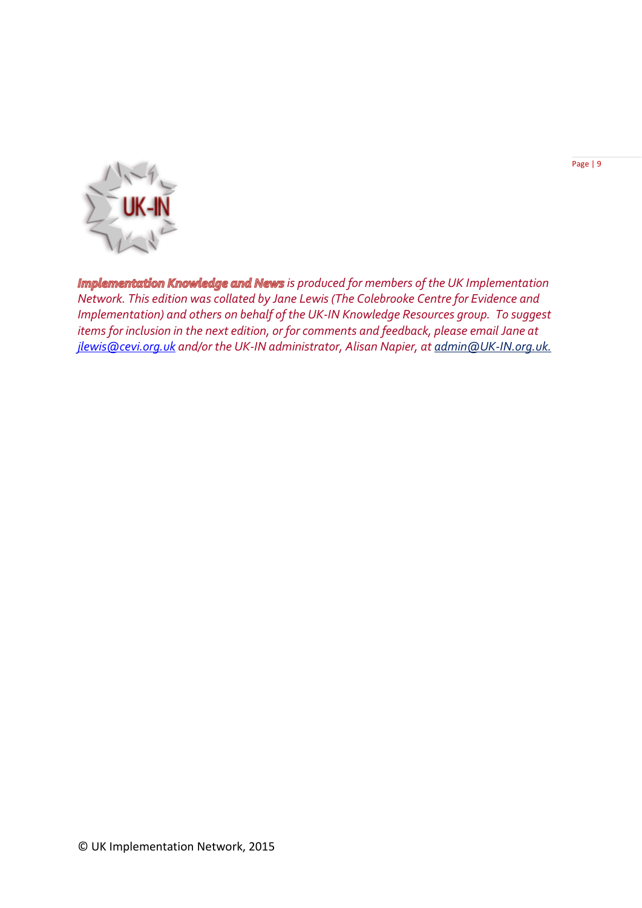Page | 9



*Implementation Knowledge and News is produced for members of the UK Implementation Network. This edition was collated by Jane Lewis (The Colebrooke Centre for Evidence and Implementation) and others on behalf of the UK-IN Knowledge Resources group. To suggest items for inclusion in the next edition, or for comments and feedback, please email Jane at [jlewis@cevi.org.uk](mailto:jlewis@cevi.org.uk) and/or the UK-IN administrator, Alisan Napier, at admi[n@UK-IN.org.uk.](mailto:knowledge@UK-IN.org.uk)*